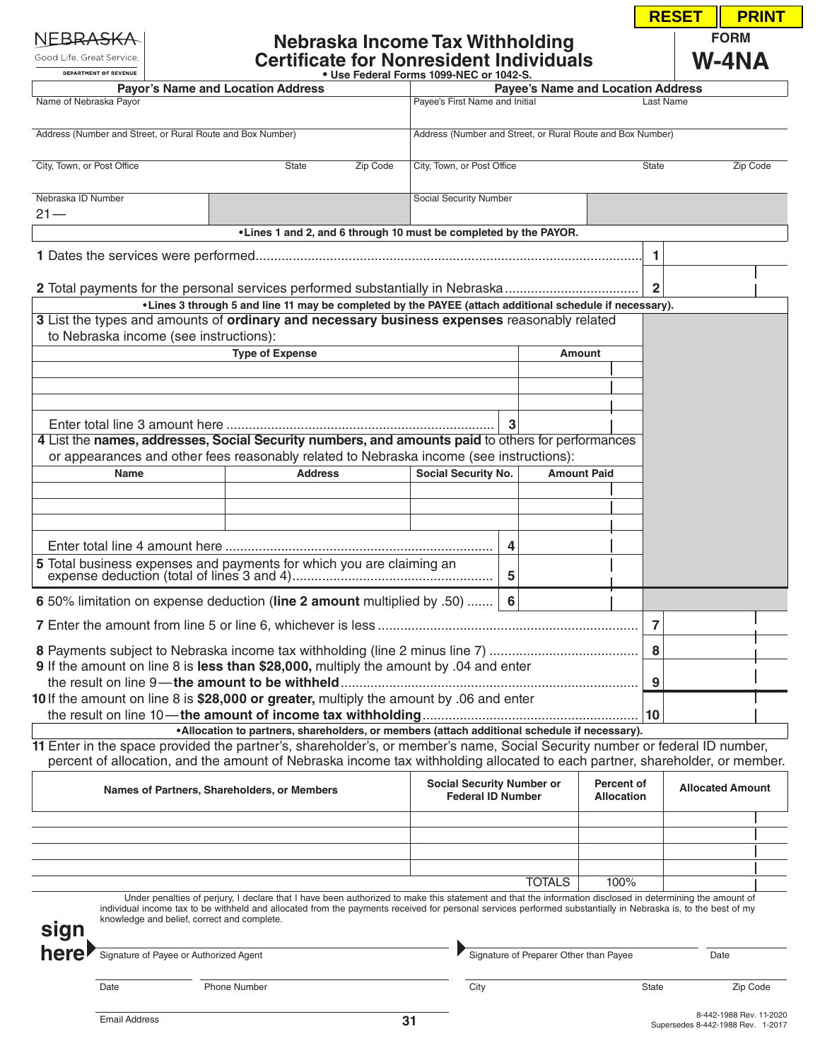Good Life. Great Service. DEPARTMENT OF REVENUE

# **Nebraska Income Tax Withholding Certificate for Nonresident Individuals • Use Federal Forms 1099-NEC or 1042-S.**

| <b>RESET</b> | <b>PRINT</b> |  |  |  |  |  |
|--------------|--------------|--|--|--|--|--|
|              | <b>FORM</b>  |  |  |  |  |  |
|              | /-4NA        |  |  |  |  |  |

|                                                                                         | <b>Payor's Name and Location Address</b>                   |                                                                                                                                                                                                                                                                                                                           |                                                    |                                                            | <b>Payee's Name and Location Address</b> |                                   |                         |  |
|-----------------------------------------------------------------------------------------|------------------------------------------------------------|---------------------------------------------------------------------------------------------------------------------------------------------------------------------------------------------------------------------------------------------------------------------------------------------------------------------------|----------------------------------------------------|------------------------------------------------------------|------------------------------------------|-----------------------------------|-------------------------|--|
| Name of Nebraska Payor                                                                  |                                                            |                                                                                                                                                                                                                                                                                                                           | Payee's First Name and Initial<br><b>Last Name</b> |                                                            |                                          |                                   |                         |  |
|                                                                                         | Address (Number and Street, or Rural Route and Box Number) | Address (Number and Street, or Rural Route and Box Number)                                                                                                                                                                                                                                                                |                                                    |                                                            |                                          |                                   |                         |  |
| City, Town, or Post Office                                                              |                                                            | Zip Code<br><b>State</b>                                                                                                                                                                                                                                                                                                  | City, Town, or Post Office                         |                                                            | State                                    |                                   | Zip Code                |  |
| Nebraska ID Number<br>$21 -$                                                            |                                                            |                                                                                                                                                                                                                                                                                                                           | Social Security Number                             |                                                            |                                          |                                   |                         |  |
|                                                                                         |                                                            | . Lines 1 and 2, and 6 through 10 must be completed by the PAYOR.                                                                                                                                                                                                                                                         |                                                    |                                                            |                                          |                                   |                         |  |
|                                                                                         |                                                            |                                                                                                                                                                                                                                                                                                                           |                                                    |                                                            |                                          | 1.                                |                         |  |
|                                                                                         |                                                            |                                                                                                                                                                                                                                                                                                                           |                                                    |                                                            |                                          |                                   |                         |  |
|                                                                                         |                                                            | 2 Total payments for the personal services performed substantially in Nebraska                                                                                                                                                                                                                                            |                                                    |                                                            |                                          | $\overline{2}$                    |                         |  |
|                                                                                         |                                                            | •Lines 3 through 5 and line 11 may be completed by the PAYEE (attach additional schedule if necessary).<br>3 List the types and amounts of ordinary and necessary business expenses reasonably related                                                                                                                    |                                                    |                                                            |                                          |                                   |                         |  |
|                                                                                         | to Nebraska income (see instructions):                     |                                                                                                                                                                                                                                                                                                                           |                                                    |                                                            |                                          |                                   |                         |  |
| <b>Type of Expense</b><br><b>Amount</b>                                                 |                                                            |                                                                                                                                                                                                                                                                                                                           |                                                    |                                                            |                                          |                                   |                         |  |
|                                                                                         |                                                            |                                                                                                                                                                                                                                                                                                                           |                                                    |                                                            |                                          |                                   |                         |  |
|                                                                                         |                                                            |                                                                                                                                                                                                                                                                                                                           |                                                    |                                                            |                                          |                                   |                         |  |
|                                                                                         |                                                            |                                                                                                                                                                                                                                                                                                                           |                                                    |                                                            |                                          |                                   |                         |  |
|                                                                                         |                                                            |                                                                                                                                                                                                                                                                                                                           | 3                                                  |                                                            |                                          |                                   |                         |  |
|                                                                                         |                                                            | 4 List the names, addresses, Social Security numbers, and amounts paid to others for performances                                                                                                                                                                                                                         |                                                    |                                                            |                                          |                                   |                         |  |
|                                                                                         |                                                            | or appearances and other fees reasonably related to Nebraska income (see instructions):                                                                                                                                                                                                                                   |                                                    |                                                            |                                          |                                   |                         |  |
|                                                                                         | <b>Name</b>                                                | <b>Address</b>                                                                                                                                                                                                                                                                                                            | Social Security No.                                |                                                            | <b>Amount Paid</b>                       |                                   |                         |  |
|                                                                                         |                                                            |                                                                                                                                                                                                                                                                                                                           |                                                    |                                                            |                                          |                                   |                         |  |
|                                                                                         |                                                            |                                                                                                                                                                                                                                                                                                                           |                                                    |                                                            |                                          |                                   |                         |  |
|                                                                                         |                                                            |                                                                                                                                                                                                                                                                                                                           | 4                                                  |                                                            |                                          |                                   |                         |  |
|                                                                                         |                                                            |                                                                                                                                                                                                                                                                                                                           | 5                                                  |                                                            |                                          |                                   |                         |  |
|                                                                                         |                                                            | 6 50% limitation on expense deduction (line 2 amount multiplied by .50)                                                                                                                                                                                                                                                   | 6                                                  |                                                            |                                          |                                   |                         |  |
|                                                                                         |                                                            |                                                                                                                                                                                                                                                                                                                           |                                                    |                                                            | 7                                        |                                   |                         |  |
|                                                                                         |                                                            |                                                                                                                                                                                                                                                                                                                           |                                                    |                                                            | 8                                        |                                   |                         |  |
|                                                                                         |                                                            | 9 If the amount on line 8 is less than \$28,000, multiply the amount by .04 and enter                                                                                                                                                                                                                                     |                                                    |                                                            |                                          |                                   |                         |  |
|                                                                                         |                                                            | the result on line 9—the amount to be withheld                                                                                                                                                                                                                                                                            |                                                    |                                                            | q                                        |                                   |                         |  |
| 10 If the amount on line 8 is \$28,000 or greater, multiply the amount by .06 and enter |                                                            |                                                                                                                                                                                                                                                                                                                           |                                                    |                                                            |                                          |                                   |                         |  |
|                                                                                         |                                                            | •Allocation to partners, shareholders, or members (attach additional schedule if necessary).                                                                                                                                                                                                                              |                                                    |                                                            | 10                                       |                                   |                         |  |
|                                                                                         |                                                            | 11 Enter in the space provided the partner's, shareholder's, or member's name, Social Security number or federal ID number,<br>percent of allocation, and the amount of Nebraska income tax withholding allocated to each partner, shareholder, or member.                                                                |                                                    |                                                            |                                          |                                   |                         |  |
| Names of Partners, Shareholders, or Members                                             |                                                            | <b>Social Security Number or</b><br><b>Federal ID Number</b>                                                                                                                                                                                                                                                              |                                                    | Percent of<br><b>Allocated Amount</b><br><b>Allocation</b> |                                          |                                   |                         |  |
|                                                                                         |                                                            |                                                                                                                                                                                                                                                                                                                           |                                                    |                                                            |                                          |                                   |                         |  |
|                                                                                         |                                                            |                                                                                                                                                                                                                                                                                                                           |                                                    |                                                            |                                          |                                   |                         |  |
|                                                                                         |                                                            |                                                                                                                                                                                                                                                                                                                           |                                                    |                                                            |                                          |                                   |                         |  |
|                                                                                         |                                                            |                                                                                                                                                                                                                                                                                                                           |                                                    | <b>TOTALS</b>                                              | 100%                                     |                                   |                         |  |
| sign                                                                                    | knowledge and belief, correct and complete.                | Under penalties of perjury, I declare that I have been authorized to make this statement and that the information disclosed in determining the amount of<br>individual income tax to be withheld and allocated from the payments received for personal services performed substantially in Nebraska is, to the best of my |                                                    |                                                            |                                          |                                   |                         |  |
| here                                                                                    | Signature of Payee or Authorized Agent                     |                                                                                                                                                                                                                                                                                                                           |                                                    | Signature of Preparer Other than Payee                     |                                          | Date                              |                         |  |
|                                                                                         | Date                                                       | <b>Phone Number</b>                                                                                                                                                                                                                                                                                                       | City                                               |                                                            | State                                    |                                   | Zip Code                |  |
|                                                                                         | <b>Email Address</b>                                       |                                                                                                                                                                                                                                                                                                                           | 31                                                 |                                                            |                                          | Supersedes 8-442-1988 Rev. 1-2017 | 8-442-1988 Rev. 11-2020 |  |
|                                                                                         |                                                            |                                                                                                                                                                                                                                                                                                                           |                                                    |                                                            |                                          |                                   |                         |  |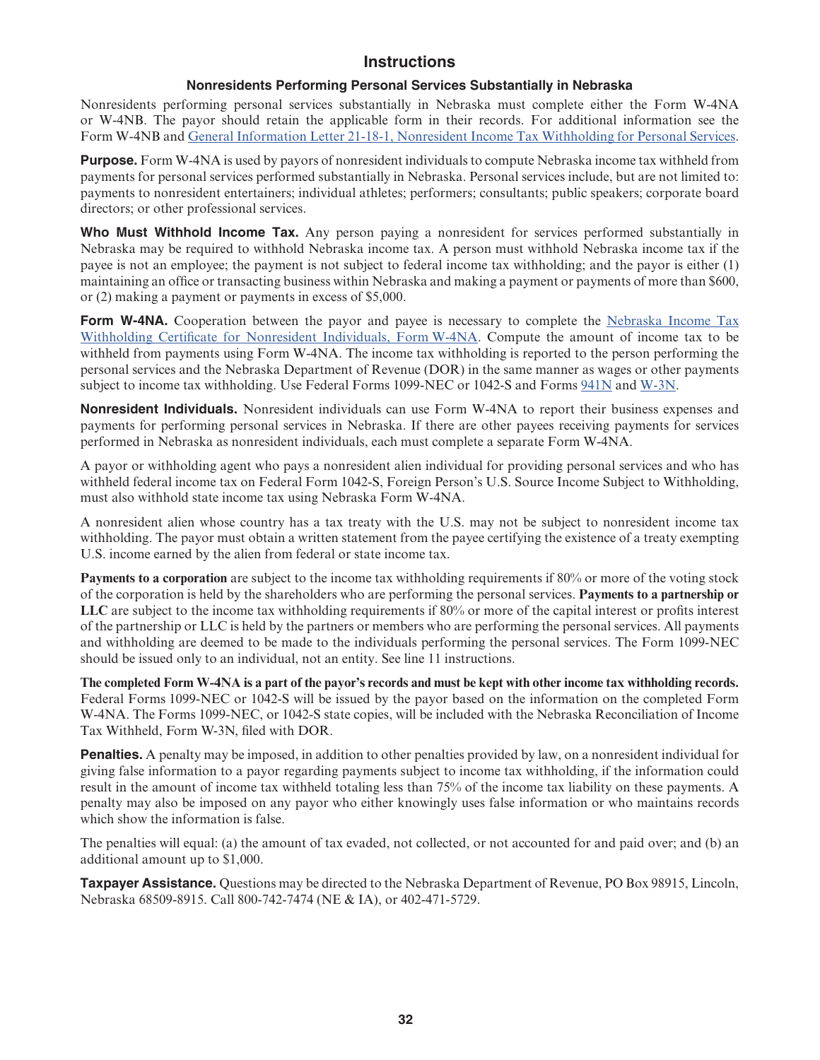# **Instructions**

#### **Nonresidents Performing Personal Services Substantially in Nebraska**

Nonresidents performing personal services substantially in Nebraska must complete either the Form W-4NA or W-4NB. The payor should retain the applicable form in their records. For additional information see the Form W-4NB and [General Information Letter 21-18-1, Nonresident Income Tax Withholding for Personal](https://revenue.nebraska.gov/files/doc/legal/gil/GIL21-18-01_Nonresident_Withholding.pdf) Services.

**Purpose.** Form W-4NA is used by payors of nonresident individuals to compute Nebraska income tax withheld from payments for personal services performed substantially in Nebraska. Personal services include, but are not limited to: payments to nonresident entertainers; individual athletes; performers; consultants; public speakers; corporate board directors; or other professional services.

**Who Must Withhold Income Tax.** Any person paying a nonresident for services performed substantially in Nebraska may be required to withhold Nebraska income tax. A person must withhold Nebraska income tax if the payee is not an employee; the payment is not subject to federal income tax withholding; and the payor is either (1) maintaining an office or transacting business within Nebraska and making a payment or payments of more than \$600, or (2) making a payment or payments in excess of \$5,000.

**Form W-4NA.** Cooperation between the payor and payee is necessary to complete the [Nebraska Income Tax](https://revenue.nebraska.gov/files/doc/tax-forms/f_w4na.pdf) [Withholding Certificate for Nonresident Individuals, Form](https://revenue.nebraska.gov/files/doc/tax-forms/f_w4na.pdf) W-4NA. Compute the amount of income tax to be withheld from payments using Form W-4NA. The income tax withholding is reported to the person performing the personal services and the Nebraska Department of Revenue (DOR) in the same manner as wages or other payments subject to income tax withholding. Use Federal Forms 1099-NEC or 1042-S and Forms [941N](https://revenue.nebraska.gov/files/doc/tax-forms/f_941n.pdf) and [W-3N.](https://revenue.nebraska.gov/files/doc/tax-forms/f_w-3n.pdf)

**Nonresident Individuals.** Nonresident individuals can use Form W-4NA to report their business expenses and payments for performing personal services in Nebraska. If there are other payees receiving payments for services performed in Nebraska as nonresident individuals, each must complete a separate Form W-4NA.

A payor or withholding agent who pays a nonresident alien individual for providing personal services and who has withheld federal income tax on Federal Form 1042-S, Foreign Person's U.S. Source Income Subject to Withholding, must also withhold state income tax using Nebraska Form W-4NA.

A nonresident alien whose country has a tax treaty with the U.S. may not be subject to nonresident income tax withholding. The payor must obtain a written statement from the payee certifying the existence of a treaty exempting U.S. income earned by the alien from federal or state income tax.

**Payments to a corporation** are subject to the income tax withholding requirements if 80% or more of the voting stock of the corporation is held by the shareholders who are performing the personal services. **Payments to a partnership or LLC** are subject to the income tax withholding requirements if 80% or more of the capital interest or profits interest of the partnership or LLC is held by the partners or members who are performing the personal services. All payments and withholding are deemed to be made to the individuals performing the personal services. The Form 1099-NEC should be issued only to an individual, not an entity. See line 11 instructions.

**The completed Form W-4NA is a part of the payor's records and must be kept with other income tax withholding records.**  Federal Forms 1099-NEC or 1042-S will be issued by the payor based on the information on the completed Form W-4NA. The Forms 1099-NEC, or 1042-S state copies, will be included with the Nebraska Reconciliation of Income Tax Withheld, Form W-3N, filed with DOR.

**Penalties.** A penalty may be imposed, in addition to other penalties provided by law, on a nonresident individual for giving false information to a payor regarding payments subject to income tax withholding, if the information could result in the amount of income tax withheld totaling less than 75% of the income tax liability on these payments. A penalty may also be imposed on any payor who either knowingly uses false information or who maintains records which show the information is false.

The penalties will equal: (a) the amount of tax evaded, not collected, or not accounted for and paid over; and (b) an additional amount up to \$1,000.

**Taxpayer Assistance.** Questions may be directed to the Nebraska Department of Revenue, PO Box 98915, Lincoln, Nebraska 68509-8915. Call 800-742-7474 (NE & IA), or 402-471-5729.